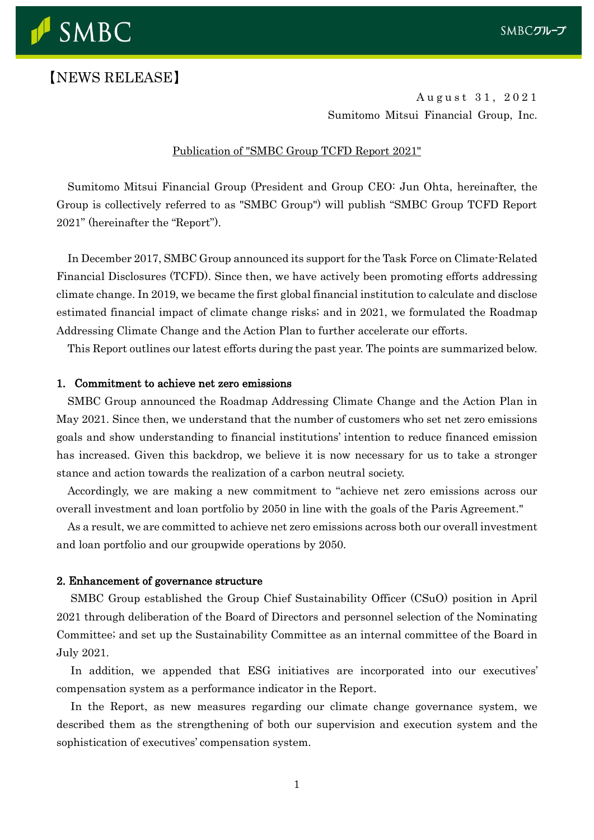

# 【NEWS RELEASE】

August 31, 2021 Sumitomo Mitsui Financial Group, Inc.

# Publication of "SMBC Group TCFD Report 2021"

Sumitomo Mitsui Financial Group (President and Group CEO: Jun Ohta, hereinafter, the Group is collectively referred to as "SMBC Group") will publish "SMBC Group TCFD Report 2021" (hereinafter the "Report").

In December 2017, SMBC Group announced its support for the Task Force on Climate-Related Financial Disclosures (TCFD). Since then, we have actively been promoting efforts addressing climate change. In 2019, we became the first global financial institution to calculate and disclose estimated financial impact of climate change risks; and in 2021, we formulated the Roadmap Addressing Climate Change and the Action Plan to further accelerate our efforts.

This Report outlines our latest efforts during the past year. The points are summarized below.

#### 1. Commitment to achieve net zero emissions

SMBC Group announced the Roadmap Addressing Climate Change and the Action Plan in May 2021. Since then, we understand that the number of customers who set net zero emissions goals and show understanding to financial institutions' intention to reduce financed emission has increased. Given this backdrop, we believe it is now necessary for us to take a stronger stance and action towards the realization of a carbon neutral society.

Accordingly, we are making a new commitment to "achieve net zero emissions across our overall investment and loan portfolio by 2050 in line with the goals of the Paris Agreement."

As a result, we are committed to achieve net zero emissions across both our overall investment and loan portfolio and our groupwide operations by 2050.

#### 2. Enhancement of governance structure

SMBC Group established the Group Chief Sustainability Officer (CSuO) position in April 2021 through deliberation of the Board of Directors and personnel selection of the Nominating Committee; and set up the Sustainability Committee as an internal committee of the Board in July 2021.

In addition, we appended that ESG initiatives are incorporated into our executives' compensation system as a performance indicator in the Report.

In the Report, as new measures regarding our climate change governance system, we described them as the strengthening of both our supervision and execution system and the sophistication of executives' compensation system.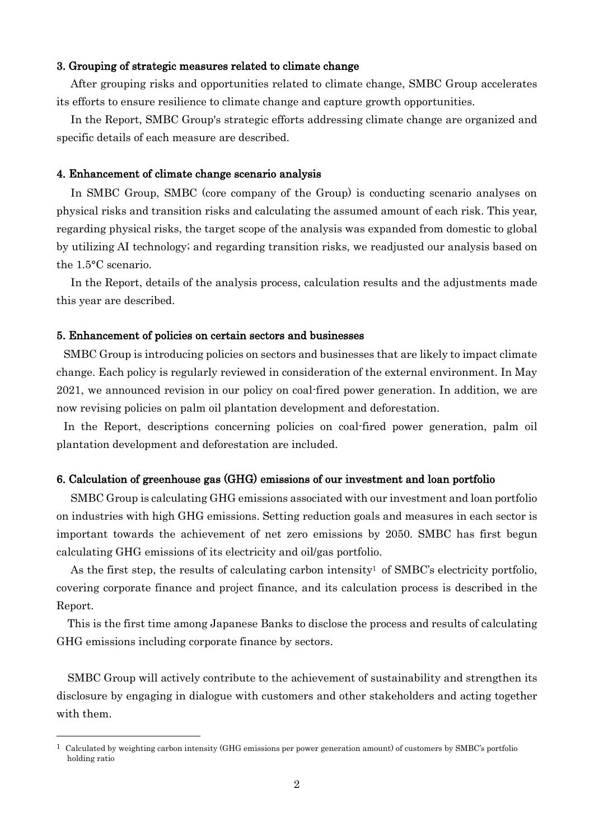# 3. Grouping of strategic measures related to climate change

After grouping risks and opportunities related to climate change, SMBC Group accelerates its efforts to ensure resilience to climate change and capture growth opportunities.

In the Report, SMBC Group's strategic efforts addressing climate change are organized and specific details of each measure are described.

### 4. Enhancement of climate change scenario analysis

In SMBC Group, SMBC (core company of the Group) is conducting scenario analyses on physical risks and transition risks and calculating the assumed amount of each risk. This year, regarding physical risks, the target scope of the analysis was expanded from domestic to global by utilizing AI technology; and regarding transition risks, we readjusted our analysis based on the 1.5°C scenario.

In the Report, details of the analysis process, calculation results and the adjustments made this year are described.

#### 5. Enhancement of policies on certain sectors and businesses

SMBC Group is introducing policies on sectors and businesses that are likely to impact climate change. Each policy is regularly reviewed in consideration of the external environment. In May 2021, we announced revision in our policy on coal-fired power generation. In addition, we are now revising policies on palm oil plantation development and deforestation.

In the Report, descriptions concerning policies on coal-fired power generation, palm oil plantation development and deforestation are included.

# 6. Calculation of greenhouse gas (GHG) emissions of our investment and loan portfolio

SMBC Group is calculating GHG emissions associated with our investment and loan portfolio on industries with high GHG emissions. Setting reduction goals and measures in each sector is important towards the achievement of net zero emissions by 2050. SMBC has first begun calculating GHG emissions of its electricity and oil/gas portfolio.

As the first step, the results of calculating carbon intensity<sup>1</sup> of SMBC's electricity portfolio, covering corporate finance and project finance, and its calculation process is described in the Report.

This is the first time among Japanese Banks to disclose the process and results of calculating GHG emissions including corporate finance by sectors.

SMBC Group will actively contribute to the achievement of sustainability and strengthen its disclosure by engaging in dialogue with customers and other stakeholders and acting together with them.

 $1$  Calculated by weighting carbon intensity (GHG emissions per power generation amount) of customers by SMBC's portfolio holding ratio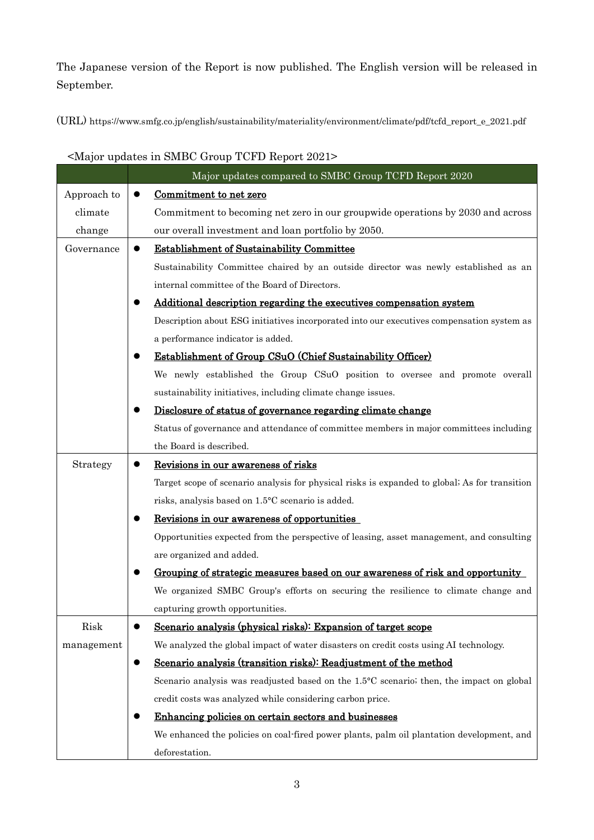The Japanese version of the Report is now published. The English version will be released in September.

(URL) https://www.smfg.co.jp/english/sustainability/materiality/environment/climate/pdf/tcfd\_report\_e\_2021.pdf

|             | Major updates compared to SMBC Group TCFD Report 2020                                         |
|-------------|-----------------------------------------------------------------------------------------------|
| Approach to | Commitment to net zero<br>$\bullet$                                                           |
| climate     | Commitment to becoming net zero in our groupwide operations by 2030 and across                |
| change      | our overall investment and loan portfolio by 2050.                                            |
| Governance  | <b>Establishment of Sustainability Committee</b><br>$\bullet$                                 |
|             | Sustainability Committee chaired by an outside director was newly established as an           |
|             | internal committee of the Board of Directors.                                                 |
|             | Additional description regarding the executives compensation system                           |
|             | Description about ESG initiatives incorporated into our executives compensation system as     |
|             | a performance indicator is added.                                                             |
|             | <b>Establishment of Group CSuO (Chief Sustainability Officer)</b>                             |
|             | We newly established the Group CSuO position to oversee and promote overall                   |
|             | sustainability initiatives, including climate change issues.                                  |
|             | Disclosure of status of governance regarding climate change                                   |
|             | Status of governance and attendance of committee members in major committees including        |
|             | the Board is described.                                                                       |
| Strategy    | Revisions in our awareness of risks<br>$\bullet$                                              |
|             | Target scope of scenario analysis for physical risks is expanded to global; As for transition |
|             | risks, analysis based on 1.5°C scenario is added.                                             |
|             | Revisions in our awareness of opportunities                                                   |
|             | Opportunities expected from the perspective of leasing, asset management, and consulting      |
|             | are organized and added.                                                                      |
|             | Grouping of strategic measures based on our awareness of risk and opportunity                 |
|             | We organized SMBC Group's efforts on securing the resilience to climate change and            |
|             | capturing growth opportunities.                                                               |
| Risk        | Scenario analysis (physical risks): Expansion of target scope                                 |
| management  | We analyzed the global impact of water disasters on credit costs using AI technology.         |
|             | Scenario analysis (transition risks): Readjustment of the method<br>$\bullet$                 |
|             | Scenario analysis was readjusted based on the 1.5°C scenario; then, the impact on global      |
|             | credit costs was analyzed while considering carbon price.                                     |
|             | Enhancing policies on certain sectors and businesses                                          |
|             | We enhanced the policies on coal-fired power plants, palm oil plantation development, and     |
|             | deforestation.                                                                                |

# <Major updates in SMBC Group TCFD Report 2021>